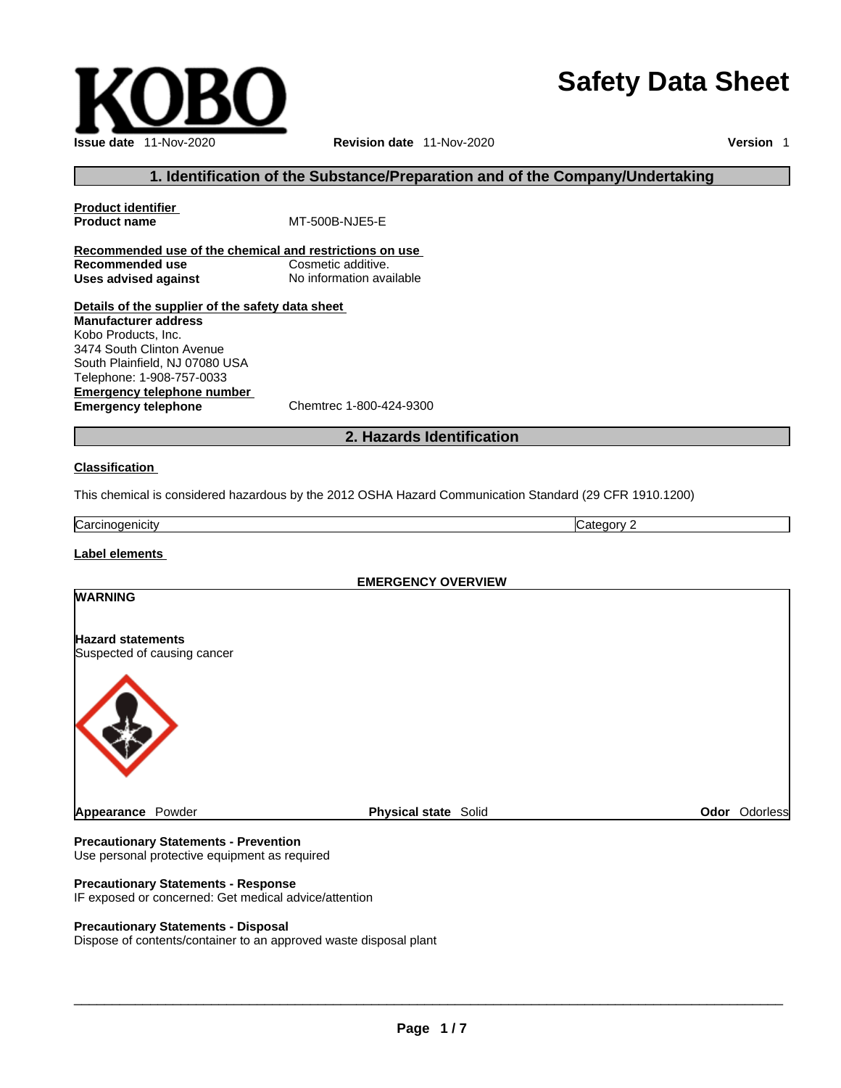# **Safety Data Sheet**



**Product name** MT-500B-NJE5-E

**Issue date** 11-Nov-2020 **Revision date** 11-Nov-2020 **Version** 1

#### **1. Identification of the Substance/Preparation and of the Company/Undertaking**

**Recommended use**<br> **Uses advised against**<br> **Uses advised against**<br> **No information available Uses** advised against **Details of the supplier of the safety data sheet Manufacturer address** Kobo Products, Inc. 3474 South Clinton Avenue South Plainfield, NJ 07080 USA Telephone: 1-908-757-0033

**Emergency telephone number**<br> **Emergency telephone**<br>
Chemtrec 1-800-424-9300 **Emergency telephone** 

**Product identifier**

#### **2. Hazards Identification**

#### **Classification**

This chemical is considered hazardous by the 2012 OSHA Hazard Communication Standard (29 CFR 1910.1200)

Carcinogenicity Category 2

#### **Label elements**

# **EMERGENCY OVERVIEW WARNING Hazard statements** Suspected of causing cancer **Appearance Powder Community Community Physical state Solid Community Community Community Physical state Solid** Community Community Physical state Solid Community Community Community Physical state Solid Community Communit

#### **Precautionary Statements - Prevention** Use personal protective equipment as required

**Precautionary Statements - Response**

IF exposed or concerned: Get medical advice/attention

#### **Precautionary Statements - Disposal**

Dispose of contents/container to an approved waste disposal plant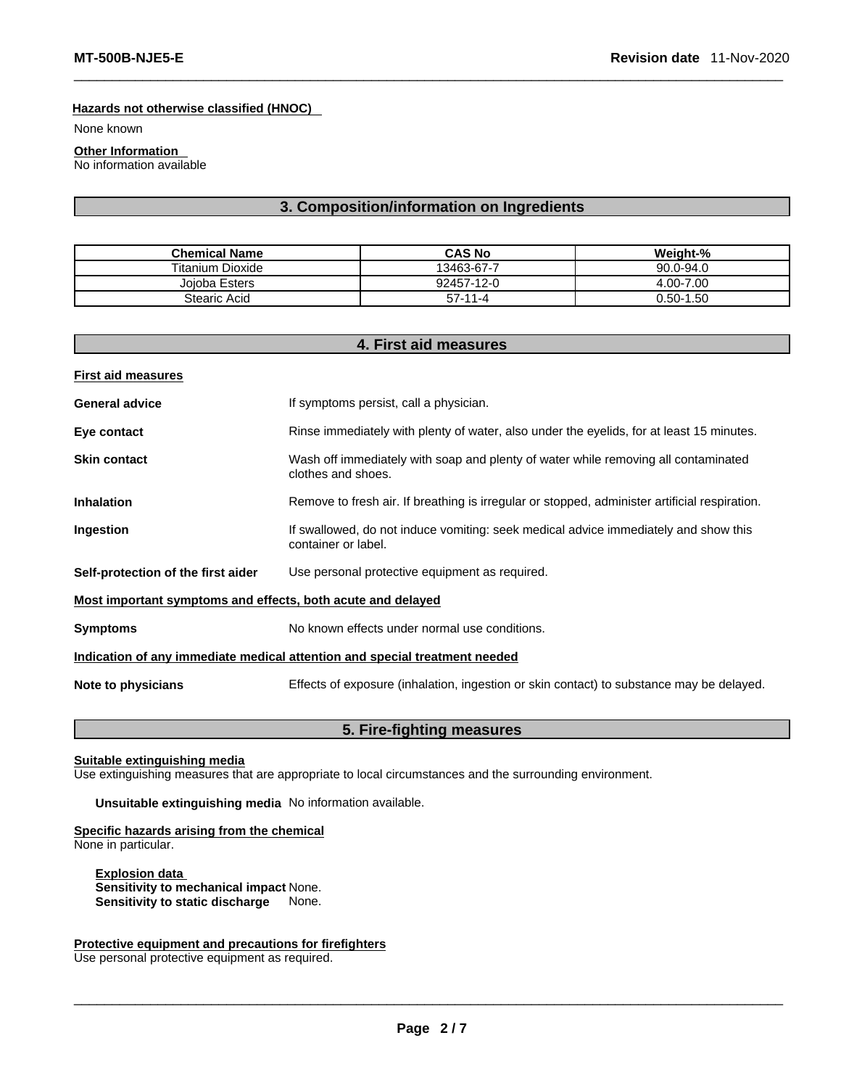#### **Hazards not otherwise classified (HNOC)**

None known

**Other Information**  No information available

#### **3. Composition/information on Ingredients**

| <b>Chemical Name</b>    | <b>CAS No</b> | Weight-%      |
|-------------------------|---------------|---------------|
| <b>Titanium Dioxide</b> | 13463-67-7    | $90.0 - 94.0$ |
| Joioba Esters           | 92457-12-0    | 4.00-7.00     |
| Stearic Acid            | $57-11-4$     | $0.50 - 1.50$ |

|                                                             | 4. First aid measures                                                                                      |
|-------------------------------------------------------------|------------------------------------------------------------------------------------------------------------|
| <b>First aid measures</b>                                   |                                                                                                            |
| <b>General advice</b>                                       | If symptoms persist, call a physician.                                                                     |
| Eye contact                                                 | Rinse immediately with plenty of water, also under the eyelids, for at least 15 minutes.                   |
| <b>Skin contact</b>                                         | Wash off immediately with soap and plenty of water while removing all contaminated<br>clothes and shoes.   |
| <b>Inhalation</b>                                           | Remove to fresh air. If breathing is irregular or stopped, administer artificial respiration.              |
| Ingestion                                                   | If swallowed, do not induce vomiting: seek medical advice immediately and show this<br>container or label. |
| Self-protection of the first aider                          | Use personal protective equipment as required.                                                             |
| Most important symptoms and effects, both acute and delayed |                                                                                                            |
| <b>Symptoms</b>                                             | No known effects under normal use conditions.                                                              |
|                                                             | Indication of any immediate medical attention and special treatment needed                                 |
| Note to physicians                                          | Effects of exposure (inhalation, ingestion or skin contact) to substance may be delayed.                   |
|                                                             |                                                                                                            |

#### **5. Fire-fighting measures**

**Suitable extinguishing media**

Use extinguishing measures that are appropriate to local circumstances and the surrounding environment.

**Unsuitable extinguishing media** No information available.

**Specific hazards arising from the chemical** None in particular.

**Explosion data Sensitivity to mechanical impact** None. **Sensitivity to static discharge** 

#### **Protective equipment and precautions for firefighters**

Use personal protective equipment as required.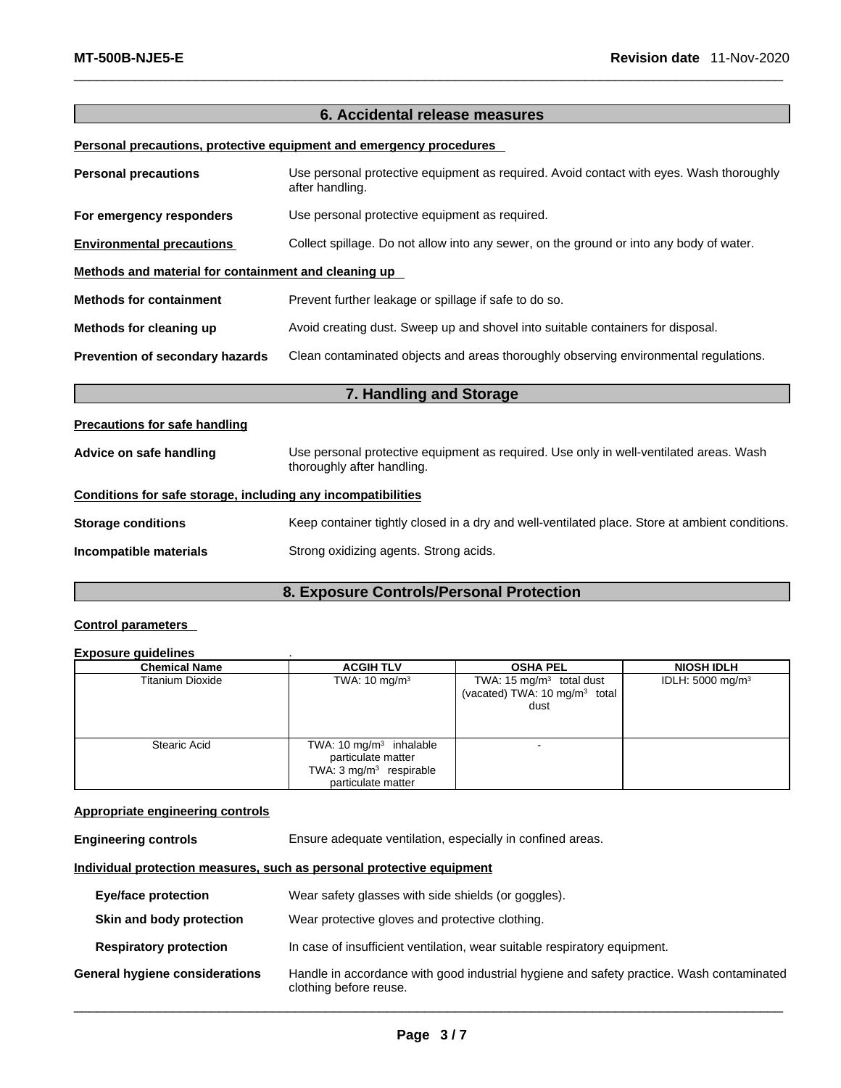#### **6. Accidental release measures**

#### **Personal precautions, protective equipment and emergency procedures**

| <b>Personal precautions</b>                          | Use personal protective equipment as required. Avoid contact with eyes. Wash thoroughly<br>after handling. |
|------------------------------------------------------|------------------------------------------------------------------------------------------------------------|
| For emergency responders                             | Use personal protective equipment as required.                                                             |
| <b>Environmental precautions</b>                     | Collect spillage. Do not allow into any sewer, on the ground or into any body of water.                    |
| Methods and material for containment and cleaning up |                                                                                                            |
| <b>Methods for containment</b>                       | Prevent further leakage or spillage if safe to do so.                                                      |
| Methods for cleaning up                              | Avoid creating dust. Sweep up and shovel into suitable containers for disposal.                            |
| Prevention of secondary hazards                      | Clean contaminated objects and areas thoroughly observing environmental regulations.                       |
|                                                      | 7. Handling and Storage                                                                                    |
| <b>Precautions for safe handling</b>                 |                                                                                                            |

## **Advice on safe handling** Use personal protective equipment as required.Use only in well-ventilated areas. Wash thoroughly after handling.

### **Conditions for safe storage, including any incompatibilities**

| <b>Storage conditions</b> | Keep container tightly closed in a dry and well-ventilated place. Store at ambient conditions. |
|---------------------------|------------------------------------------------------------------------------------------------|
| Incompatible materials    | Strong oxidizing agents. Strong acids.                                                         |

#### **8. Exposure Controls/Personal Protection**

#### **Control parameters**

#### **Exposure guidelines** .

| <b>Chemical Name</b>    | <b>ACGIH TLV</b>                                                                                                     | <b>OSHA PEL</b>                                                                 | <b>NIOSH IDLH</b>           |
|-------------------------|----------------------------------------------------------------------------------------------------------------------|---------------------------------------------------------------------------------|-----------------------------|
| <b>Titanium Dioxide</b> | TWA: $10 \text{ mg/m}^3$                                                                                             | TWA: 15 $mg/m3$ total dust<br>(vacated) TWA: 10 mg/m <sup>3</sup> total<br>dust | IDLH: $5000 \text{ mg/m}^3$ |
| Stearic Acid            | TWA: $10 \text{ mg/m}^3$ inhalable<br>particulate matter<br>TWA: $3 \text{ mg/m}^3$ respirable<br>particulate matter | -                                                                               |                             |

#### **Appropriate engineering controls**

**Engineering controls** Ensure adequate ventilation, especially in confined areas.

#### **Individual protection measures, such as personal protective equipment**

| <b>Eye/face protection</b>     | Wear safety glasses with side shields (or goggles).                                                                |
|--------------------------------|--------------------------------------------------------------------------------------------------------------------|
| Skin and body protection       | Wear protective gloves and protective clothing.                                                                    |
| <b>Respiratory protection</b>  | In case of insufficient ventilation, wear suitable respiratory equipment.                                          |
| General hygiene considerations | Handle in accordance with good industrial hygiene and safety practice. Wash contaminated<br>clothing before reuse. |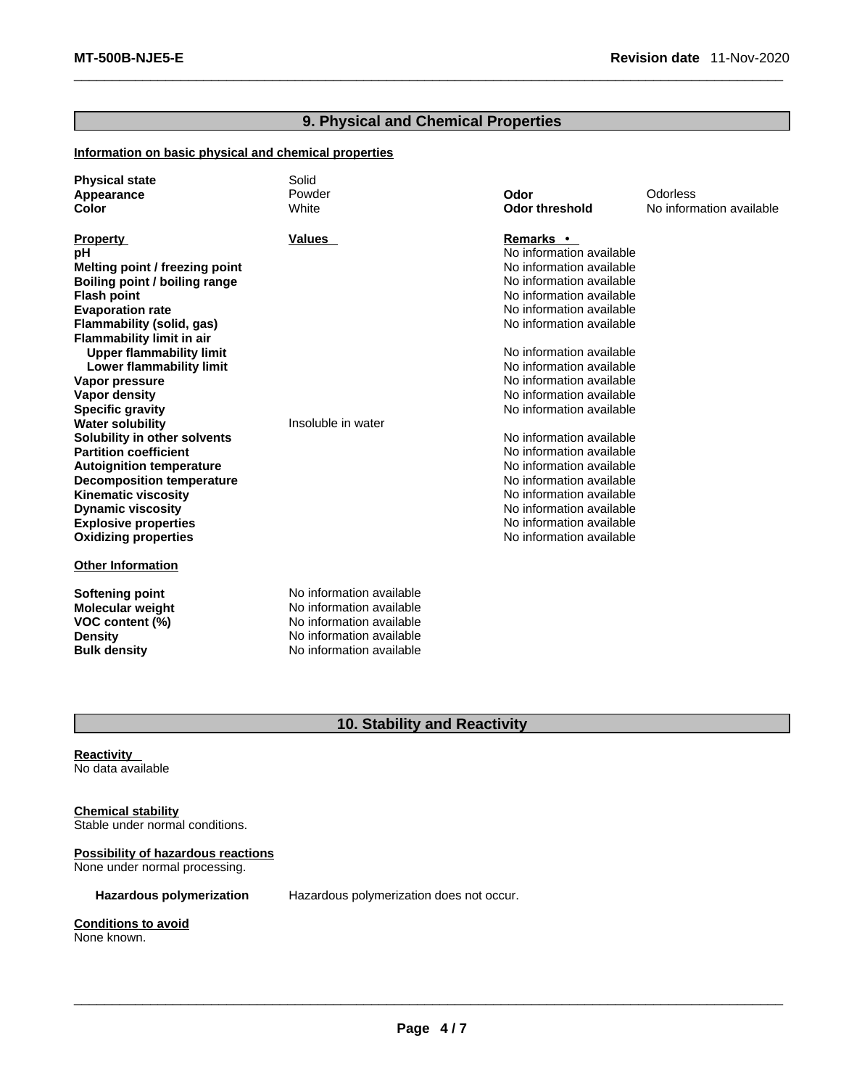#### **9. Physical and Chemical Properties**

#### **Information on basic physical and chemical properties**

| <b>Physical state</b>            | Solid                    |                          |                          |
|----------------------------------|--------------------------|--------------------------|--------------------------|
| Appearance                       | Powder                   | Odor                     | <b>Odorless</b>          |
| Color                            | White                    | <b>Odor threshold</b>    | No information available |
|                                  |                          |                          |                          |
| <b>Property</b>                  | <b>Values</b>            | Remarks •                |                          |
| рH                               |                          | No information available |                          |
| Melting point / freezing point   |                          | No information available |                          |
| Boiling point / boiling range    |                          | No information available |                          |
| <b>Flash point</b>               |                          | No information available |                          |
| <b>Evaporation rate</b>          |                          | No information available |                          |
| Flammability (solid, gas)        |                          | No information available |                          |
| <b>Flammability limit in air</b> |                          |                          |                          |
| <b>Upper flammability limit</b>  |                          | No information available |                          |
| <b>Lower flammability limit</b>  |                          | No information available |                          |
| Vapor pressure                   |                          | No information available |                          |
| <b>Vapor density</b>             |                          | No information available |                          |
| <b>Specific gravity</b>          |                          | No information available |                          |
| <b>Water solubility</b>          | Insoluble in water       |                          |                          |
| Solubility in other solvents     |                          | No information available |                          |
| <b>Partition coefficient</b>     |                          | No information available |                          |
| <b>Autoignition temperature</b>  |                          | No information available |                          |
| <b>Decomposition temperature</b> |                          | No information available |                          |
| <b>Kinematic viscosity</b>       |                          | No information available |                          |
| <b>Dynamic viscosity</b>         |                          | No information available |                          |
| <b>Explosive properties</b>      |                          | No information available |                          |
| <b>Oxidizing properties</b>      |                          | No information available |                          |
| <b>Other Information</b>         |                          |                          |                          |
| <b>Softening point</b>           | No information available |                          |                          |
| <b>Molecular weight</b>          | No information available |                          |                          |
| VOC content (%)                  | No information available |                          |                          |
| <b>Density</b>                   | No information available |                          |                          |
| <b>Bulk density</b>              | No information available |                          |                          |

### **10. Stability and Reactivity**

**Reactivity**  No data available

#### **Chemical stability**

Stable under normal conditions.

**Possibility of hazardous reactions** None under normal processing.

**Hazardous polymerization** Hazardous polymerization does not occur.

**Conditions to avoid**

None known.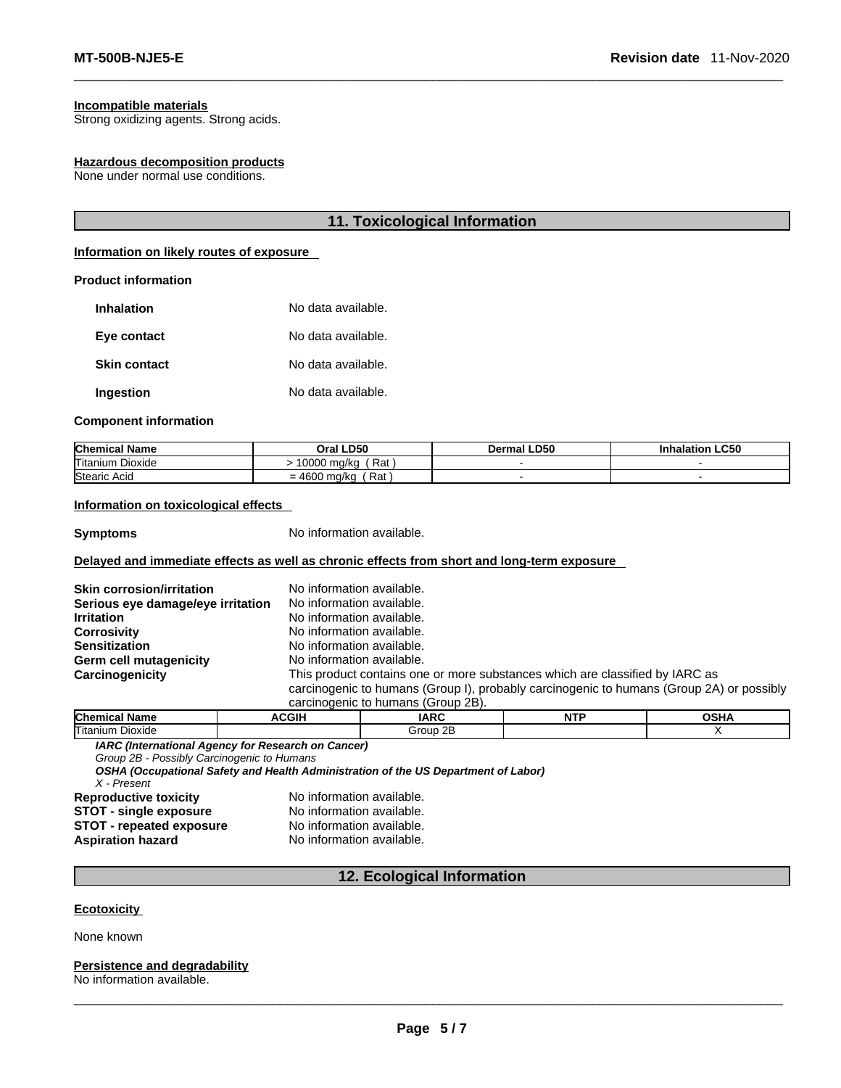#### **Incompatible materials**

Strong oxidizing agents. Strong acids.

#### **Hazardous decomposition products**

None under normal use conditions.

#### **11. Toxicological Information**

#### **Information on likely routes of exposure**

#### **Product information**

| <b>Inhalation</b>   | No data available. |
|---------------------|--------------------|
| Eye contact         | No data available. |
| <b>Skin contact</b> | No data available. |
| Ingestion           | No data available. |

#### **Component information**

| <b>Chemical Name</b>             | . LD50<br>Oral                     | <b>LD50</b><br>Dermal | <b>LC50</b><br>Inhalation |
|----------------------------------|------------------------------------|-----------------------|---------------------------|
| Titanium<br>$- \cdot$<br>Dioxide | Rat.<br>0000<br>ma/kc              |                       |                           |
| Stearic Acid                     | Rat<br>0.00<br>= 4600 ma/ka<br>. . |                       |                           |

#### **Information on toxicological effects**

**Symptoms** No information available.

#### **Delayed and immediate effects as well as chronic effects from short and long-term exposure**

| <b>Skin corrosion/irritation</b>  | No information available. |                                    |                                                                              |                                                                                          |
|-----------------------------------|---------------------------|------------------------------------|------------------------------------------------------------------------------|------------------------------------------------------------------------------------------|
| Serious eye damage/eye irritation | No information available. |                                    |                                                                              |                                                                                          |
| <b>Irritation</b>                 | No information available. |                                    |                                                                              |                                                                                          |
| <b>Corrosivity</b>                | No information available. |                                    |                                                                              |                                                                                          |
| <b>Sensitization</b>              | No information available. |                                    |                                                                              |                                                                                          |
| Germ cell mutagenicity            | No information available. |                                    |                                                                              |                                                                                          |
| Carcinogenicity                   |                           |                                    | This product contains one or more substances which are classified by IARC as |                                                                                          |
|                                   |                           |                                    |                                                                              | carcinogenic to humans (Group I), probably carcinogenic to humans (Group 2A) or possibly |
|                                   |                           | carcinogenic to humans (Group 2B). |                                                                              |                                                                                          |
|                                   | .                         | $\cdot$                            | $\overline{\phantom{a}}$                                                     | $- - - - -$                                                                              |

| <b>Chen</b><br>$- - - -$<br>iame.                                                      | $\sim$ | IARC                   | <b>NTP</b> | $- - -$ |
|----------------------------------------------------------------------------------------|--------|------------------------|------------|---------|
| ь.<br>'Titaniun.<br>Dioxide                                                            |        | $\sim$<br>`roun<br>זור |            |         |
| $\cdots$ $\cdots$<br>$\sim$ $\sim$ $\sim$ $\sim$ $\sim$<br>$\sim$ $\sim$ $\sim$ $\sim$ |        |                        |            |         |

*IARC (International Agency for Research on Cancer)*

*Group 2B - Possibly Carcinogenic to Humans* 

*OSHA (Occupational Safety and Health Administration of the US Department of Labor) X - Present* 

#### **Reproductive toxicity No information available.**<br>**STOT - single exposure No information available. STOT** - **single exposure** No information available.<br>**STOT** - repeated exposure No information available. **STOT** - repeated exposure

**Aspiration hazard** No information available.

#### **12. Ecological Information**

#### **Ecotoxicity**

#### None known

#### **Persistence and degradability**

No information available.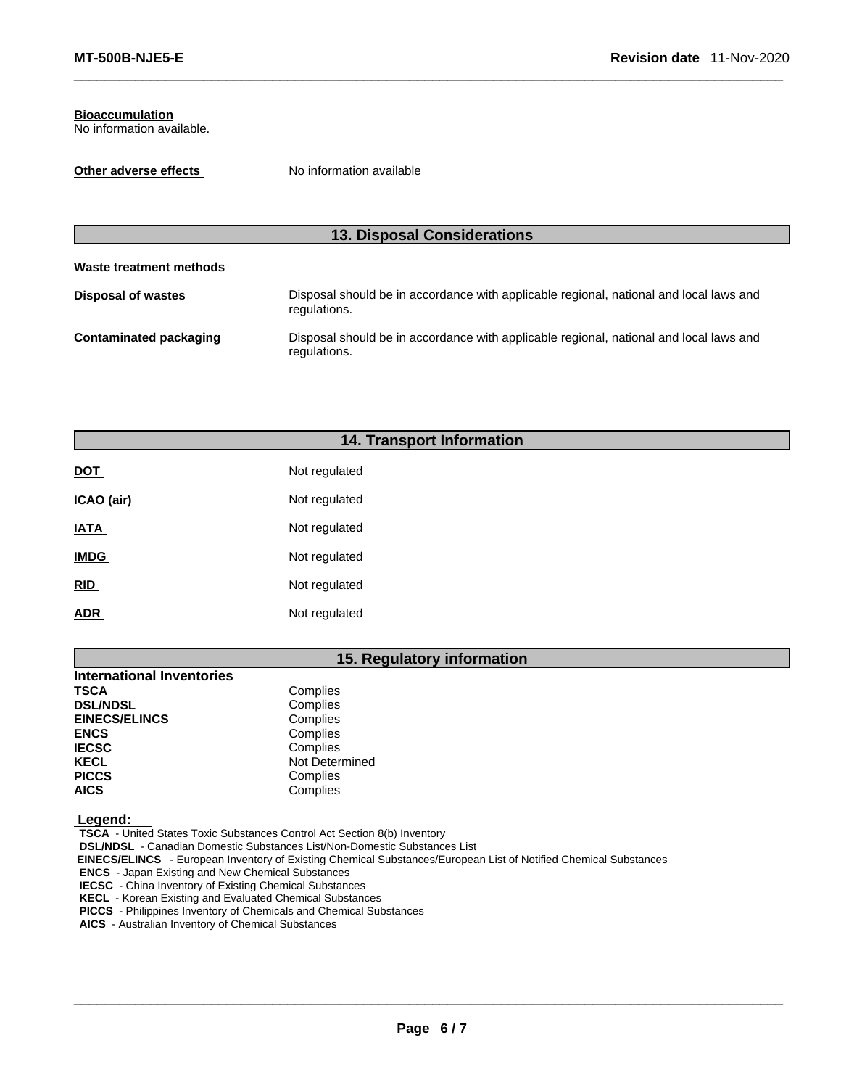#### **Bioaccumulation** No information available.

**Other adverse effects** No information available

#### **13. Disposal Considerations**

#### **Waste treatment methods**

| Disposal of wastes     | Disposal should be in accordance with applicable regional, national and local laws and<br>regulations. |
|------------------------|--------------------------------------------------------------------------------------------------------|
| Contaminated packaging | Disposal should be in accordance with applicable regional, national and local laws and<br>regulations. |

#### **14. Transport Information**

| <b>DOT</b>  | Not regulated |
|-------------|---------------|
| ICAO (air)  | Not regulated |
| <b>IATA</b> | Not regulated |
| <b>IMDG</b> | Not regulated |
| <b>RID</b>  | Not regulated |
| <b>ADR</b>  | Not regulated |

#### **15. Regulatory information**

| <b>International Inventories</b> |                |
|----------------------------------|----------------|
| <b>TSCA</b>                      | Complies       |
| <b>DSL/NDSL</b>                  | Complies       |
| <b>EINECS/ELINCS</b>             | Complies       |
| <b>ENCS</b>                      | Complies       |
| <b>IECSC</b>                     | Complies       |
| <b>KECL</b>                      | Not Determined |
| <b>PICCS</b>                     | Complies       |
| <b>AICS</b>                      | Complies       |
|                                  |                |

 **Legend:** 

**TSCA** - United States Toxic Substances Control Act Section 8(b) Inventory

**DSL/NDSL** - Canadian Domestic Substances List/Non-Domestic Substances List

 **EINECS/ELINCS** - European Inventory of Existing Chemical Substances/European List of Notified Chemical Substances

**ENCS** - Japan Existing and New Chemical Substances

**IECSC** - China Inventory of Existing Chemical Substances

**KECL** - Korean Existing and Evaluated Chemical Substances

**PICCS** - Philippines Inventory of Chemicals and Chemical Substances

**AICS** - Australian Inventory of Chemical Substances